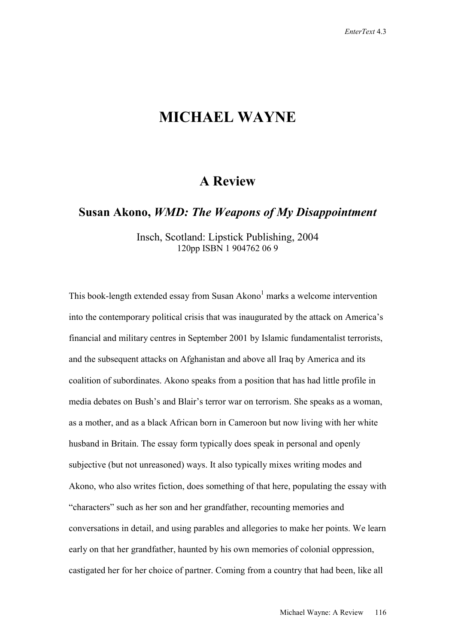## **MICHAEL WAYNE**

## **A Review**

**Susan Akono,** *WMD: The Weapons of My Disappointment*

Insch, Scotland: Lipstick Publishing, 2004 120pp ISBN 1 904762 06 9

This book-length extended essay from Susan Akono<sup>1</sup> marks a welcome intervention into the contemporary political crisis that was inaugurated by the attack on America's financial and military centres in September 2001 by Islamic fundamentalist terrorists, and the subsequent attacks on Afghanistan and above all Iraq by America and its coalition of subordinates. Akono speaks from a position that has had little profile in media debates on Bush's and Blair's terror war on terrorism. She speaks as a woman, as a mother, and as a black African born in Cameroon but now living with her white husband in Britain. The essay form typically does speak in personal and openly subjective (but not unreasoned) ways. It also typically mixes writing modes and Akono, who also writes fiction, does something of that here, populating the essay with "characters" such as her son and her grandfather, recounting memories and conversations in detail, and using parables and allegories to make her points. We learn early on that her grandfather, haunted by his own memories of colonial oppression, castigated her for her choice of partner. Coming from a country that had been, like all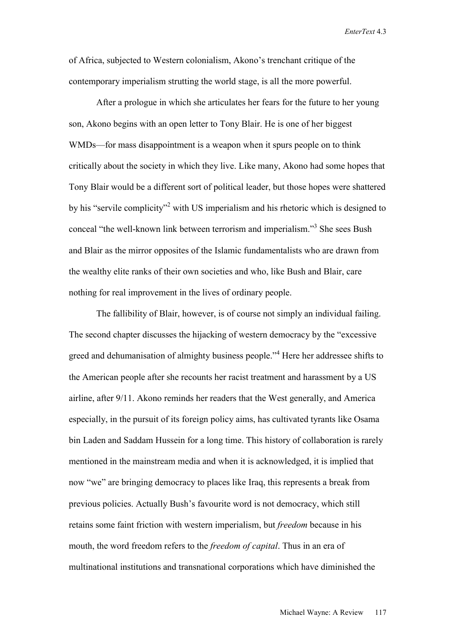*EnterText* 4.3

of Africa, subjected to Western colonialism, Akono's trenchant critique of the contemporary imperialism strutting the world stage, is all the more powerful.

After a prologue in which she articulates her fears for the future to her young son, Akono begins with an open letter to Tony Blair. He is one of her biggest WMDs—for mass disappointment is a weapon when it spurs people on to think critically about the society in which they live. Like many, Akono had some hopes that Tony Blair would be a different sort of political leader, but those hopes were shattered by his "servile complicity"<sup>2</sup> with US imperialism and his rhetoric which is designed to conceal "the well-known link between terrorism and imperialism."3 She sees Bush and Blair as the mirror opposites of the Islamic fundamentalists who are drawn from the wealthy elite ranks of their own societies and who, like Bush and Blair, care nothing for real improvement in the lives of ordinary people.

The fallibility of Blair, however, is of course not simply an individual failing. The second chapter discusses the hijacking of western democracy by the "excessive greed and dehumanisation of almighty business people."<sup>4</sup> Here her addressee shifts to the American people after she recounts her racist treatment and harassment by a US airline, after 9/11. Akono reminds her readers that the West generally, and America especially, in the pursuit of its foreign policy aims, has cultivated tyrants like Osama bin Laden and Saddam Hussein for a long time. This history of collaboration is rarely mentioned in the mainstream media and when it is acknowledged, it is implied that now "we" are bringing democracy to places like Iraq, this represents a break from previous policies. Actually Bush's favourite word is not democracy, which still retains some faint friction with western imperialism, but *freedom* because in his mouth, the word freedom refers to the *freedom of capital*. Thus in an era of multinational institutions and transnational corporations which have diminished the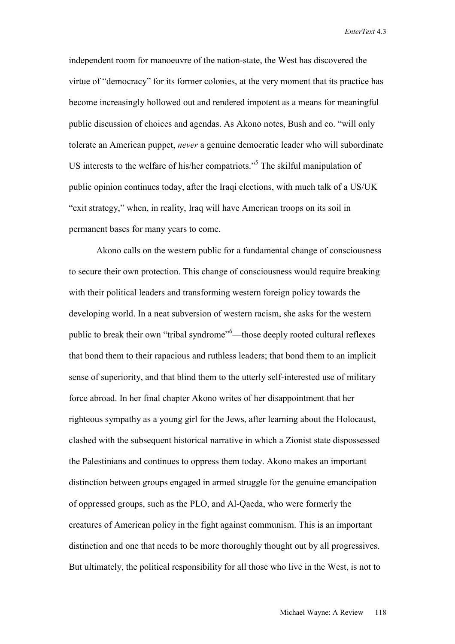*EnterText* 4.3

independent room for manoeuvre of the nation-state, the West has discovered the virtue of "democracy" for its former colonies, at the very moment that its practice has become increasingly hollowed out and rendered impotent as a means for meaningful public discussion of choices and agendas. As Akono notes, Bush and co. "will only tolerate an American puppet, *never* a genuine democratic leader who will subordinate US interests to the welfare of his/her compatriots."<sup>5</sup> The skilful manipulation of public opinion continues today, after the Iraqi elections, with much talk of a US/UK "exit strategy," when, in reality, Iraq will have American troops on its soil in permanent bases for many years to come.

Akono calls on the western public for a fundamental change of consciousness to secure their own protection. This change of consciousness would require breaking with their political leaders and transforming western foreign policy towards the developing world. In a neat subversion of western racism, she asks for the western public to break their own "tribal syndrome"<sup>6</sup>—those deeply rooted cultural reflexes that bond them to their rapacious and ruthless leaders; that bond them to an implicit sense of superiority, and that blind them to the utterly self-interested use of military force abroad. In her final chapter Akono writes of her disappointment that her righteous sympathy as a young girl for the Jews, after learning about the Holocaust, clashed with the subsequent historical narrative in which a Zionist state dispossessed the Palestinians and continues to oppress them today. Akono makes an important distinction between groups engaged in armed struggle for the genuine emancipation of oppressed groups, such as the PLO, and Al-Qaeda, who were formerly the creatures of American policy in the fight against communism. This is an important distinction and one that needs to be more thoroughly thought out by all progressives. But ultimately, the political responsibility for all those who live in the West, is not to